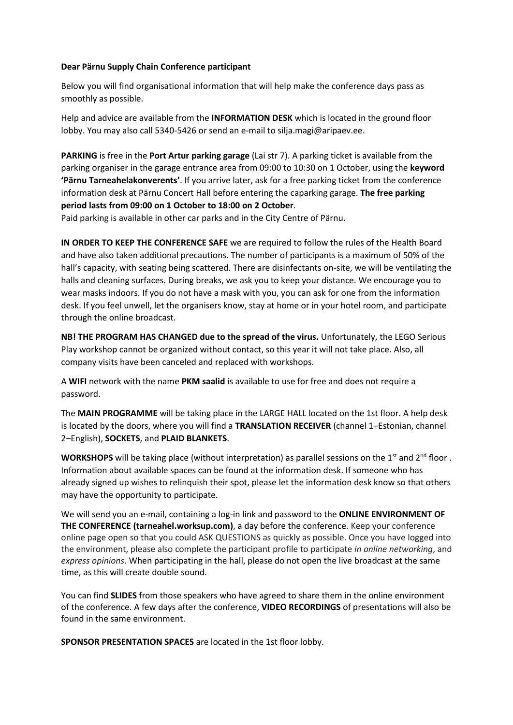## **Dear Pärnu Supply Chain Conference participant**

Below you will find organisational information that will help make the conference days pass as smoothly as possible.

Help and advice are available from the **INFORMATION DESK** which is located in the ground floor lobby. You may also call 5340-5426 or send an e-mail to silja.magi@aripaev.ee.

**PARKING** is free in the **Port Artur parking garage** (Lai str 7). A parking ticket is available from the parking organiser in the garage entrance area from 09:00 to 10:30 on 1 October, using the **keyword 'Pärnu Tarneahelakonverents'**. If you arrive later, ask for a free parking ticket from the conference information desk at Pärnu Concert Hall before entering the caparking garage. **The free parking period lasts from 09:00 on 1 October to 18:00 on 2 October**.

Paid parking is available in other car parks and in the City Centre of Pärnu.

**IN ORDER TO KEEP THE CONFERENCE SAFE** we are required to follow the rules of the Health Board and have also taken additional precautions. The number of participants is a maximum of 50% of the hall's capacity, with seating being scattered. There are disinfectants on-site, we will be ventilating the halls and cleaning surfaces. During breaks, we ask you to keep your distance. We encourage you to wear masks indoors. If you do not have a mask with you, you can ask for one from the information desk. If you feel unwell, let the organisers know, stay at home or in your hotel room, and participate through the online broadcast.

**NB! THE PROGRAM HAS CHANGED due to the spread of the virus.** Unfortunately, the LEGO Serious Play workshop cannot be organized without contact, so this year it will not take place. Also, all company visits have been canceled and replaced with workshops.

A **WIFI** network with the name **PKM saalid** is available to use for free and does not require a password.

The **MAIN PROGRAMME** will be taking place in the LARGE HALL located on the 1st floor. A help desk is located by the doors, where you will find a **TRANSLATION RECEIVER** (channel 1–Estonian, channel 2–English), **SOCKETS**, and **PLAID BLANKETS**.

WORKSHOPS will be taking place (without interpretation) as parallel sessions on the 1<sup>st</sup> and 2<sup>nd</sup> floor. Information about available spaces can be found at the information desk. If someone who has already signed up wishes to relinquish their spot, please let the information desk know so that others may have the opportunity to participate.

We will send you an e-mail, containing a log-in link and password to the **ONLINE ENVIRONMENT OF THE CONFERENCE (tarneahel.worksup.com)**, a day before the conference. Keep your conference online page open so that you could ASK QUESTIONS as quickly as possible. Once you have logged into the environment, please also complete the participant profile to participate *in online networking*, and *express opinions*. When participating in the hall, please do not open the live broadcast at the same time, as this will create double sound.

You can find **SLIDES** from those speakers who have agreed to share them in the online environment of the conference. A few days after the conference, **VIDEO RECORDINGS** of presentations will also be found in the same environment.

**SPONSOR PRESENTATION SPACES** are located in the 1st floor lobby.